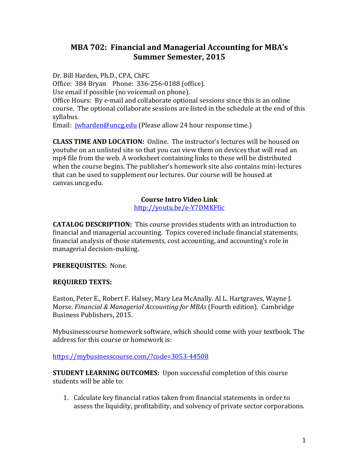# **MBA 702: Financial and Managerial Accounting for MBA's Summer Semester, 2015**

Dr. Bill Harden, Ph.D., CPA, ChFC Office: 384 Bryan Phone: 336-256-0188 (office). Use email if possible (no voicemail on phone). Office Hours: By e-mail and collaborate optional sessions since this is an online course. The optional collaborate sessions are listed in the schedule at the end of this syllabus.

Email: [jwharden@uncg.edu](mailto:jwharden@uncg.edu) (Please allow 24 hour response time.)

**CLASS TIME AND LOCATION:** Online. The instructor's lectures will be housed on youtube on an unlisted site so that you can view them on devices that will read an mp4 file from the web. A worksheet containing links to these will be distributed when the course begins. The publisher's homework site also contains mini-lectures that can be used to supplement our lectures. Our course will be housed at canvas.uncg.edu.

## **Course Intro Video Link**

<http://youtu.be/e-Y7DMKFfic>

**CATALOG DESCRIPTION:** This course provides students with an introduction to financial and managerial accounting. Topics covered include financial statements, financial analysis of those statements, cost accounting, and accounting's role in managerial decision-making.

## **PREREQUISITES:** None.

## **REQUIRED TEXTS:**

Easton, Peter E., Robert F. Halsey, Mary Lea McAnally. Al L. Hartgraves, Wayne J. Morse. *Financial & Managerial Accounting for MBAs* (Fourth edition). Cambridge Business Publishers, 2015.

Mybusinesscourse homework software, which should come with your textbook. The address for this course or homework is:

#### [https://mybusinesscourse.com/?code=3053-44508](https://mybusinesscourse.com/?code=1546-73177)

**STUDENT LEARNING OUTCOMES:** Upon successful completion of this course students will be able to:

1. Calculate key financial ratios taken from financial statements in order to assess the liquidity, profitability, and solvency of private sector corporations.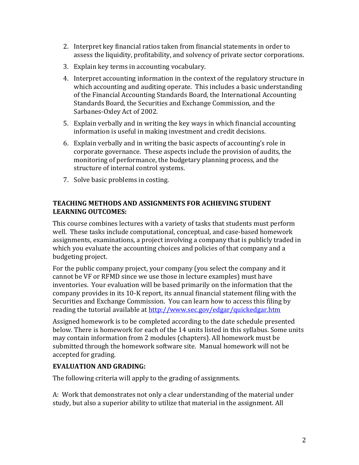- 2. Interpret key financial ratios taken from financial statements in order to assess the liquidity, profitability, and solvency of private sector corporations.
- 3. Explain key terms in accounting vocabulary.
- 4. Interpret accounting information in the context of the regulatory structure in which accounting and auditing operate. This includes a basic understanding of the Financial Accounting Standards Board, the International Accounting Standards Board, the Securities and Exchange Commission, and the Sarbanes-Oxley Act of 2002.
- 5. Explain verbally and in writing the key ways in which financial accounting information is useful in making investment and credit decisions.
- 6. Explain verbally and in writing the basic aspects of accounting's role in corporate governance. These aspects include the provision of audits, the monitoring of performance, the budgetary planning process, and the structure of internal control systems.
- 7. Solve basic problems in costing.

## **TEACHING METHODS AND ASSIGNMENTS FOR ACHIEVING STUDENT LEARNING OUTCOMES:**

This course combines lectures with a variety of tasks that students must perform well. These tasks include computational, conceptual, and case-based homework assignments, examinations, a project involving a company that is publicly traded in which you evaluate the accounting choices and policies of that company and a budgeting project.

For the public company project, your company (you select the company and it cannot be VF or RFMD since we use those in lecture examples) must have inventories. Your evaluation will be based primarily on the information that the company provides in its 10-K report, its annual financial statement filing with the Securities and Exchange Commission. You can learn how to access this filing by reading the tutorial available at http://www.sec.gov/edgar/quickedgar.htm

Assigned homework is to be completed according to the date schedule presented below. There is homework for each of the 14 units listed in this syllabus. Some units may contain information from 2 modules (chapters). All homework must be submitted through the homework software site. Manual homework will not be accepted for grading.

# **EVALUATION AND GRADING:**

The following criteria will apply to the grading of assignments.

A: Work that demonstrates not only a clear understanding of the material under study, but also a superior ability to utilize that material in the assignment. All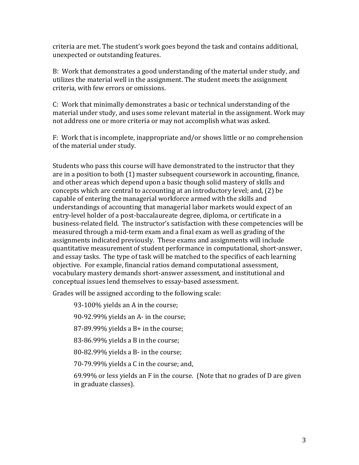criteria are met. The student's work goes beyond the task and contains additional, unexpected or outstanding features.

B: Work that demonstrates a good understanding of the material under study, and utilizes the material well in the assignment. The student meets the assignment criteria, with few errors or omissions.

C: Work that minimally demonstrates a basic or technical understanding of the material under study, and uses some relevant material in the assignment. Work may not address one or more criteria or may not accomplish what was asked.

F: Work that is incomplete, inappropriate and/or shows little or no comprehension of the material under study.

Students who pass this course will have demonstrated to the instructor that they are in a position to both (1) master subsequent coursework in accounting, finance, and other areas which depend upon a basic though solid mastery of skills and concepts which are central to accounting at an introductory level; and, (2) be capable of entering the managerial workforce armed with the skills and understandings of accounting that managerial labor markets would expect of an entry-level holder of a post-baccalaureate degree, diploma, or certificate in a business-related field. The instructor's satisfaction with these competencies will be measured through a mid-term exam and a final exam as well as grading of the assignments indicated previously. These exams and assignments will include quantitative measurement of student performance in computational, short-answer, and essay tasks. The type of task will be matched to the specifics of each learning objective. For example, financial ratios demand computational assessment, vocabulary mastery demands short-answer assessment, and institutional and conceptual issues lend themselves to essay-based assessment.

Grades will be assigned according to the following scale:

93-100% yields an A in the course;

90-92.99% yields an A- in the course;

87-89.99% yields a B+ in the course;

83-86.99% yields a B in the course;

80-82.99% yields a B- in the course;

70-79.99% yields a C in the course; and,

69.99% or less yields an F in the course. (Note that no grades of D are given in graduate classes).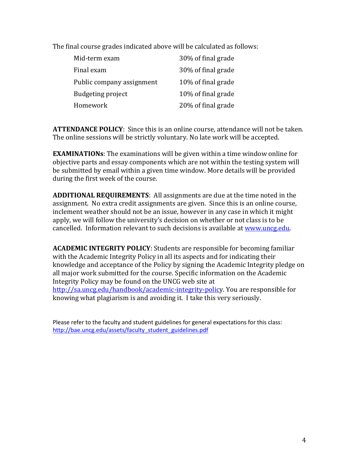The final course grades indicated above will be calculated as follows:

| Mid-term exam             | 30% of final grade |
|---------------------------|--------------------|
| Final exam                | 30% of final grade |
| Public company assignment | 10% of final grade |
| <b>Budgeting project</b>  | 10% of final grade |
| Homework                  | 20% of final grade |

**ATTENDANCE POLICY**: Since this is an online course, attendance will not be taken. The online sessions will be strictly voluntary. No late work will be accepted.

**EXAMINATIONs**: The examinations will be given within a time window online for objective parts and essay components which are not within the testing system will be submitted by email within a given time window. More details will be provided during the first week of the course.

**ADDITIONAL REQUIREMENTS**: All assignments are due at the time noted in the assignment. No extra credit assignments are given. Since this is an online course, inclement weather should not be an issue, however in any case in which it might apply, we will follow the university's decision on whether or not class is to be cancelled. Information relevant to such decisions is available at [www.uncg.edu.](http://www.uncg.edu/)

**ACADEMIC INTEGRITY POLICY**: Students are responsible for becoming familiar with the Academic Integrity Policy in all its aspects and for indicating their knowledge and acceptance of the Policy by signing the Academic Integrity pledge on all major work submitted for the course. Specific information on the Academic Integrity Policy may be found on the UNCG web site at [http://sa.uncg.edu/handbook/academic-integrity-policy](http://sa.uncg.edu/handbook/academic-integrity-polic). You are responsible for knowing what plagiarism is and avoiding it. I take this very seriously.

Please refer to the faculty and student guidelines for general expectations for this class: [http://bae.uncg.edu/assets/faculty\\_student\\_guidelines.pdf](http://bae.uncg.edu/assets/faculty_student_guidelines.pdf)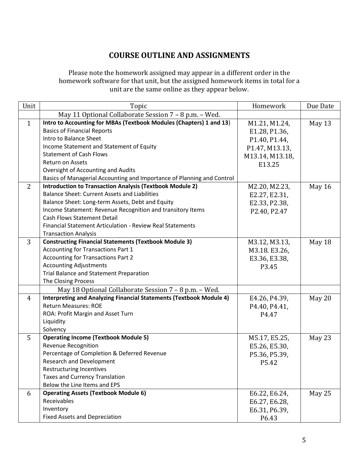# **COURSE OUTLINE AND ASSIGNMENTS**

Please note the homework assigned may appear in a different order in the homework software for that unit, but the assigned homework items in total for a unit are the same online as they appear below.

| Unit           | Topic                                                                  | Homework        | Due Date |
|----------------|------------------------------------------------------------------------|-----------------|----------|
|                | May 11 Optional Collaborate Session 7 - 8 p.m. - Wed.                  |                 |          |
| $\mathbf{1}$   | Intro to Accounting for MBAs (Textbook Modules (Chapters) 1 and 13)    | M1.21, M1.24,   | May 13   |
|                | <b>Basics of Financial Reports</b>                                     | E1.28, P1.36,   |          |
|                | Intro to Balance Sheet                                                 | P1.40, P1.44,   |          |
|                | Income Statement and Statement of Equity                               | P1.47, M13.13,  |          |
|                | <b>Statement of Cash Flows</b>                                         | M13.14, M13.18, |          |
|                | Return on Assets                                                       | E13.25          |          |
|                | Oversight of Accounting and Audits                                     |                 |          |
|                | Basics of Managerial Accounting and Importance of Planning and Control |                 |          |
| 2              | <b>Introduction to Transaction Analysis (Textbook Module 2)</b>        | M2.20, M2.23,   | May 16   |
|                | <b>Balance Sheet: Current Assets and Liabilities</b>                   | E2.27, E2.31,   |          |
|                | Balance Sheet: Long-term Assets, Debt and Equity                       | E2.33, P2.38,   |          |
|                | Income Statement: Revenue Recognition and transitory Items             | P2.40, P2.47    |          |
|                | <b>Cash Flows Statement Detail</b>                                     |                 |          |
|                | Financial Statement Articulation - Review Real Statements              |                 |          |
|                | <b>Transaction Analysis</b>                                            |                 |          |
| 3              | <b>Constructing Financial Statements (Textbook Module 3)</b>           | M3.12, M3.13,   | May 18   |
|                | <b>Accounting for Transactions Part 1</b>                              | M3.18. E3.26,   |          |
|                | <b>Accounting for Transactions Part 2</b>                              | E3.36, E3.38,   |          |
|                | <b>Accounting Adjustments</b>                                          | P3.45           |          |
|                | Trial Balance and Statement Preparation                                |                 |          |
|                | The Closing Process                                                    |                 |          |
|                | May 18 Optional Collaborate Session 7 - 8 p.m. - Wed.                  |                 |          |
| $\overline{4}$ | Interpreting and Analyzing Financial Statements (Textbook Module 4)    | E4.26, P4.39,   | May 20   |
|                | <b>Return Measures: ROE</b>                                            | P4.40, P4.41,   |          |
|                | ROA: Profit Margin and Asset Turn                                      | P4.47           |          |
|                | Liquidity                                                              |                 |          |
|                | Solvency                                                               |                 |          |
| 5              | <b>Operating Income (Textbook Module 5)</b>                            | M5.17, E5.25,   | May 23   |
|                | <b>Revenue Recognition</b>                                             | E5.26, E5.30,   |          |
|                | Percentage of Completion & Deferred Revenue                            | P5.36, P5.39,   |          |
|                | <b>Research and Development</b>                                        | P5.42           |          |
|                | Restructuring Incentives                                               |                 |          |
|                | <b>Taxes and Currency Translation</b>                                  |                 |          |
|                | Below the Line Items and EPS                                           |                 |          |
| 6              | <b>Operating Assets (Textbook Module 6)</b>                            | E6.22, E6.24,   | May 25   |
|                | Receivables                                                            | E6.27, E6.28,   |          |
|                | Inventory                                                              | E6.31, P6.39,   |          |
|                | <b>Fixed Assets and Depreciation</b>                                   | P6.43           |          |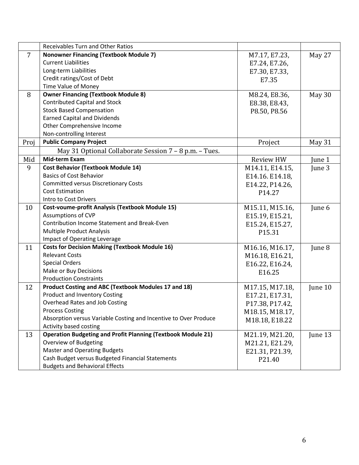|                | <b>Receivables Turn and Other Ratios</b>                            |                  |         |
|----------------|---------------------------------------------------------------------|------------------|---------|
| $\overline{7}$ | <b>Nonowner Financing (Textbook Module 7)</b>                       | M7.17, E7.23,    | May 27  |
|                | <b>Current Liabilities</b>                                          | E7.24, E7.26,    |         |
|                | Long-term Liabilities                                               | E7.30, E7.33,    |         |
|                | Credit ratings/Cost of Debt                                         | E7.35            |         |
|                | Time Value of Money                                                 |                  |         |
| 8              | <b>Owner Financing (Textbook Module 8)</b>                          | M8.24, E8.36,    | May 30  |
|                | <b>Contributed Capital and Stock</b>                                | E8.38, E8.43,    |         |
|                | <b>Stock Based Compensation</b>                                     | P8.50, P8.56     |         |
|                | <b>Earned Capital and Dividends</b>                                 |                  |         |
|                | Other Comprehensive Income                                          |                  |         |
|                | Non-controlling Interest                                            |                  |         |
| Proj           | <b>Public Company Project</b>                                       | Project          | May 31  |
|                | May 31 Optional Collaborate Session 7 - 8 p.m. - Tues.              |                  |         |
| Mid            | <b>Mid-term Exam</b>                                                | <b>Review HW</b> | June 1  |
| 9              | <b>Cost Behavior (Textbook Module 14)</b>                           | M14.11, E14.15,  | June 3  |
|                | <b>Basics of Cost Behavior</b>                                      | E14.16. E14.18,  |         |
|                | <b>Committed versus Discretionary Costs</b>                         | E14.22, P14.26,  |         |
|                | <b>Cost Estimation</b>                                              | P14.27           |         |
|                | Intro to Cost Drivers                                               |                  |         |
| 10             | <b>Cost-voume-profit Analysis (Textbook Module 15)</b>              | M15.11, M15.16,  | June 6  |
|                | Assumptions of CVP                                                  | E15.19, E15.21,  |         |
|                | Contribution Income Statement and Break-Even                        | E15.24, E15.27,  |         |
|                | <b>Multiple Product Analysis</b>                                    | P15.31           |         |
|                | <b>Impact of Operating Leverage</b>                                 |                  |         |
| 11             | <b>Costs for Decision Making (Textbook Module 16)</b>               | M16.16, M16.17,  | June 8  |
|                | <b>Relevant Costs</b>                                               | M16.18, E16.21,  |         |
|                | <b>Special Orders</b>                                               | E16.22, E16.24,  |         |
|                | Make or Buy Decisions                                               | E16.25           |         |
|                | <b>Production Constraints</b>                                       |                  |         |
| 12             | Product Costing and ABC (Textbook Modules 17 and 18)                | M17.15, M17.18,  | June 10 |
|                | <b>Product and Inventory Costing</b>                                | E17.21, E17.31,  |         |
|                | Overhead Rates and Job Costing                                      | P17.38, P17.42,  |         |
|                | <b>Process Costing</b>                                              | M18.15, M18.17,  |         |
|                | Absorption versus Variable Costing and Incentive to Over Produce    | M18.18, E18.22   |         |
|                | Activity based costing                                              |                  |         |
| 13             | <b>Operation Budgeting and Profit Planning (Textbook Module 21)</b> | M21.19, M21.20,  | June 13 |
|                | Overview of Budgeting                                               | M21.21, E21.29,  |         |
|                | <b>Master and Operating Budgets</b>                                 | E21.31, P21.39,  |         |
|                | Cash Budget versus Budgeted Financial Statements                    | P21.40           |         |
|                | <b>Budgets and Behavioral Effects</b>                               |                  |         |